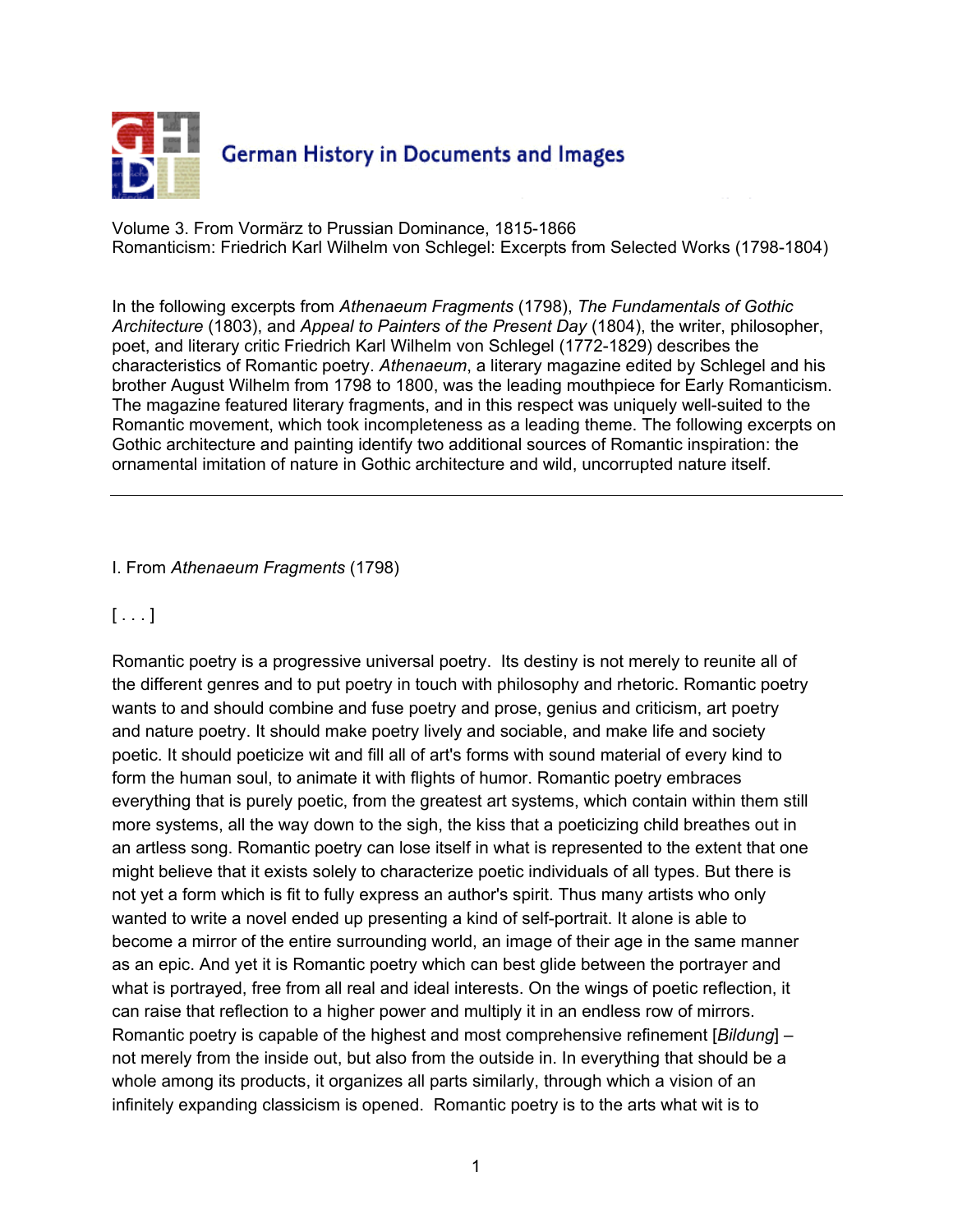

Volume 3. From Vormärz to Prussian Dominance, 1815-1866 Romanticism: Friedrich Karl Wilhelm von Schlegel: Excerpts from Selected Works (1798-1804)

In the following excerpts from *Athenaeum Fragments* (1798), *The Fundamentals of Gothic Architecture* (1803), and *Appeal to Painters of the Present Day* (1804), the writer, philosopher, poet, and literary critic Friedrich Karl Wilhelm von Schlegel (1772-1829) describes the characteristics of Romantic poetry. *Athenaeum*, a literary magazine edited by Schlegel and his brother August Wilhelm from 1798 to 1800, was the leading mouthpiece for Early Romanticism. The magazine featured literary fragments, and in this respect was uniquely well-suited to the Romantic movement, which took incompleteness as a leading theme. The following excerpts on Gothic architecture and painting identify two additional sources of Romantic inspiration: the ornamental imitation of nature in Gothic architecture and wild, uncorrupted nature itself.

# I. From *Athenaeum Fragments* (1798)

# $[ \ldots ]$

Romantic poetry is a progressive universal poetry. Its destiny is not merely to reunite all of the different genres and to put poetry in touch with philosophy and rhetoric. Romantic poetry wants to and should combine and fuse poetry and prose, genius and criticism, art poetry and nature poetry. It should make poetry lively and sociable, and make life and society poetic. It should poeticize wit and fill all of art's forms with sound material of every kind to form the human soul, to animate it with flights of humor. Romantic poetry embraces everything that is purely poetic, from the greatest art systems, which contain within them still more systems, all the way down to the sigh, the kiss that a poeticizing child breathes out in an artless song. Romantic poetry can lose itself in what is represented to the extent that one might believe that it exists solely to characterize poetic individuals of all types. But there is not yet a form which is fit to fully express an author's spirit. Thus many artists who only wanted to write a novel ended up presenting a kind of self-portrait. It alone is able to become a mirror of the entire surrounding world, an image of their age in the same manner as an epic. And yet it is Romantic poetry which can best glide between the portrayer and what is portrayed, free from all real and ideal interests. On the wings of poetic reflection, it can raise that reflection to a higher power and multiply it in an endless row of mirrors. Romantic poetry is capable of the highest and most comprehensive refinement [*Bildung*] – not merely from the inside out, but also from the outside in. In everything that should be a whole among its products, it organizes all parts similarly, through which a vision of an infinitely expanding classicism is opened. Romantic poetry is to the arts what wit is to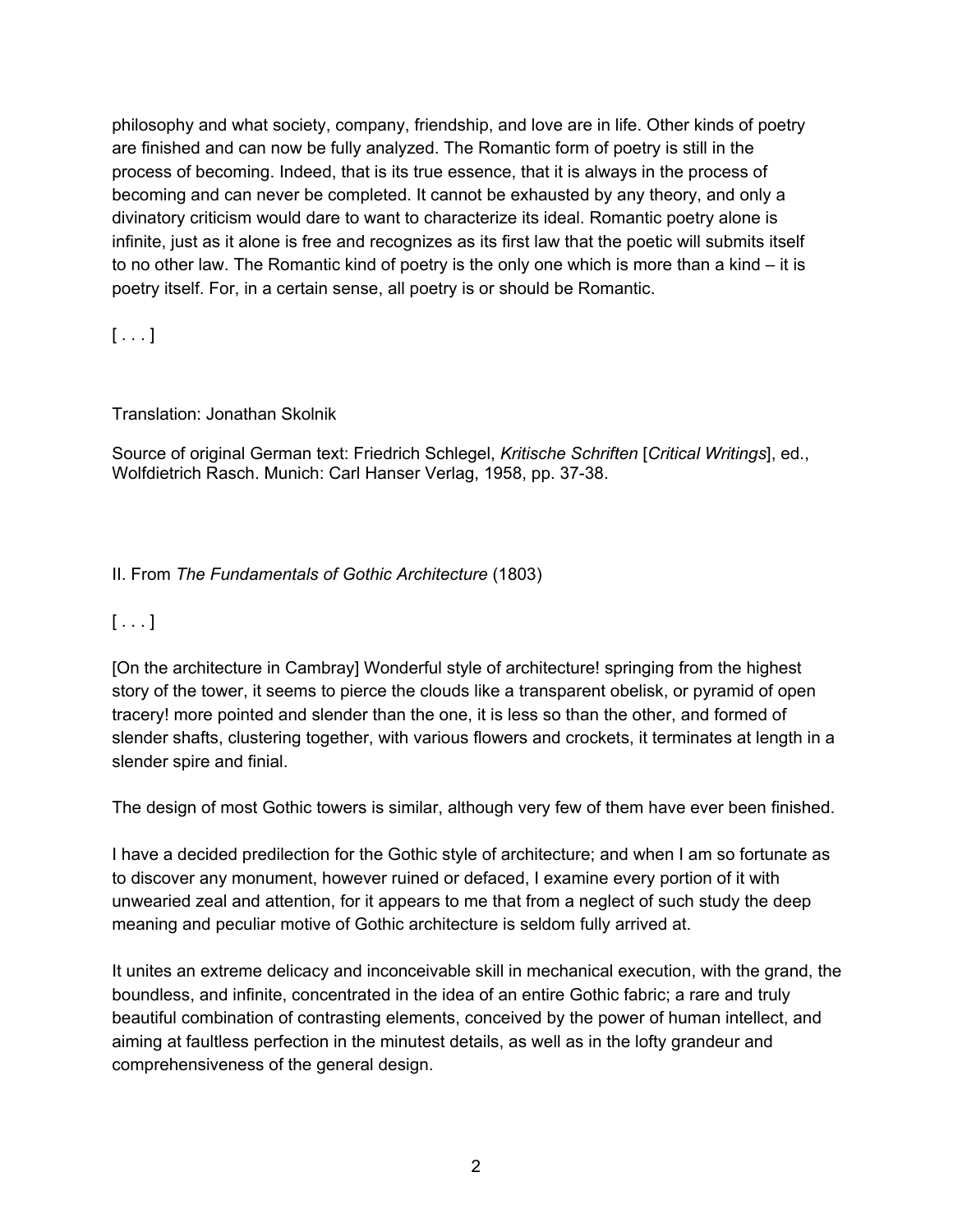philosophy and what society, company, friendship, and love are in life. Other kinds of poetry are finished and can now be fully analyzed. The Romantic form of poetry is still in the process of becoming. Indeed, that is its true essence, that it is always in the process of becoming and can never be completed. It cannot be exhausted by any theory, and only a divinatory criticism would dare to want to characterize its ideal. Romantic poetry alone is infinite, just as it alone is free and recognizes as its first law that the poetic will submits itself to no other law. The Romantic kind of poetry is the only one which is more than a kind – it is poetry itself. For, in a certain sense, all poetry is or should be Romantic.

 $[ \ldots ]$ 

# Translation: Jonathan Skolnik

Source of original German text: Friedrich Schlegel, *Kritische Schriften* [*Critical Writings*], ed., Wolfdietrich Rasch. Munich: Carl Hanser Verlag, 1958, pp. 37-38.

# II. From *The Fundamentals of Gothic Architecture* (1803)

# $[ \ldots ]$

[On the architecture in Cambray] Wonderful style of architecture! springing from the highest story of the tower, it seems to pierce the clouds like a transparent obelisk, or pyramid of open tracery! more pointed and slender than the one, it is less so than the other, and formed of slender shafts, clustering together, with various flowers and crockets, it terminates at length in a slender spire and finial.

The design of most Gothic towers is similar, although very few of them have ever been finished.

I have a decided predilection for the Gothic style of architecture; and when I am so fortunate as to discover any monument, however ruined or defaced, I examine every portion of it with unwearied zeal and attention, for it appears to me that from a neglect of such study the deep meaning and peculiar motive of Gothic architecture is seldom fully arrived at.

It unites an extreme delicacy and inconceivable skill in mechanical execution, with the grand, the boundless, and infinite, concentrated in the idea of an entire Gothic fabric; a rare and truly beautiful combination of contrasting elements, conceived by the power of human intellect, and aiming at faultless perfection in the minutest details, as well as in the lofty grandeur and comprehensiveness of the general design.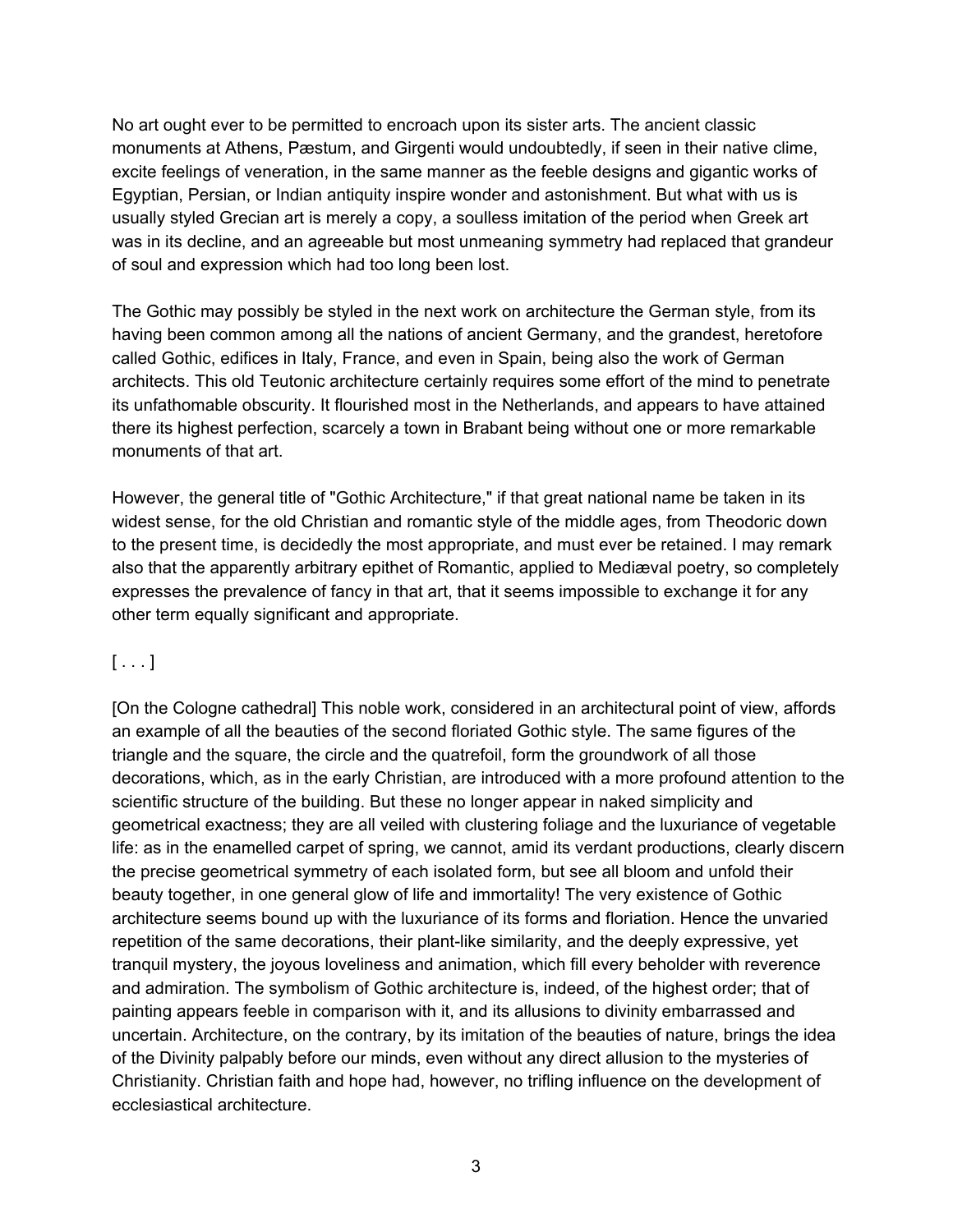No art ought ever to be permitted to encroach upon its sister arts. The ancient classic monuments at Athens, Pæstum, and Girgenti would undoubtedly, if seen in their native clime, excite feelings of veneration, in the same manner as the feeble designs and gigantic works of Egyptian, Persian, or Indian antiquity inspire wonder and astonishment. But what with us is usually styled Grecian art is merely a copy, a soulless imitation of the period when Greek art was in its decline, and an agreeable but most unmeaning symmetry had replaced that grandeur of soul and expression which had too long been lost.

The Gothic may possibly be styled in the next work on architecture the German style, from its having been common among all the nations of ancient Germany, and the grandest, heretofore called Gothic, edifices in Italy, France, and even in Spain, being also the work of German architects. This old Teutonic architecture certainly requires some effort of the mind to penetrate its unfathomable obscurity. It flourished most in the Netherlands, and appears to have attained there its highest perfection, scarcely a town in Brabant being without one or more remarkable monuments of that art.

However, the general title of "Gothic Architecture," if that great national name be taken in its widest sense, for the old Christian and romantic style of the middle ages, from Theodoric down to the present time, is decidedly the most appropriate, and must ever be retained. I may remark also that the apparently arbitrary epithet of Romantic, applied to Mediæval poetry, so completely expresses the prevalence of fancy in that art, that it seems impossible to exchange it for any other term equally significant and appropriate.

 $[\ldots]$ 

[On the Cologne cathedral] This noble work, considered in an architectural point of view, affords an example of all the beauties of the second floriated Gothic style. The same figures of the triangle and the square, the circle and the quatrefoil, form the groundwork of all those decorations, which, as in the early Christian, are introduced with a more profound attention to the scientific structure of the building. But these no longer appear in naked simplicity and geometrical exactness; they are all veiled with clustering foliage and the luxuriance of vegetable life: as in the enamelled carpet of spring, we cannot, amid its verdant productions, clearly discern the precise geometrical symmetry of each isolated form, but see all bloom and unfold their beauty together, in one general glow of life and immortality! The very existence of Gothic architecture seems bound up with the luxuriance of its forms and floriation. Hence the unvaried repetition of the same decorations, their plant-like similarity, and the deeply expressive, yet tranquil mystery, the joyous loveliness and animation, which fill every beholder with reverence and admiration. The symbolism of Gothic architecture is, indeed, of the highest order; that of painting appears feeble in comparison with it, and its allusions to divinity embarrassed and uncertain. Architecture, on the contrary, by its imitation of the beauties of nature, brings the idea of the Divinity palpably before our minds, even without any direct allusion to the mysteries of Christianity. Christian faith and hope had, however, no trifling influence on the development of ecclesiastical architecture.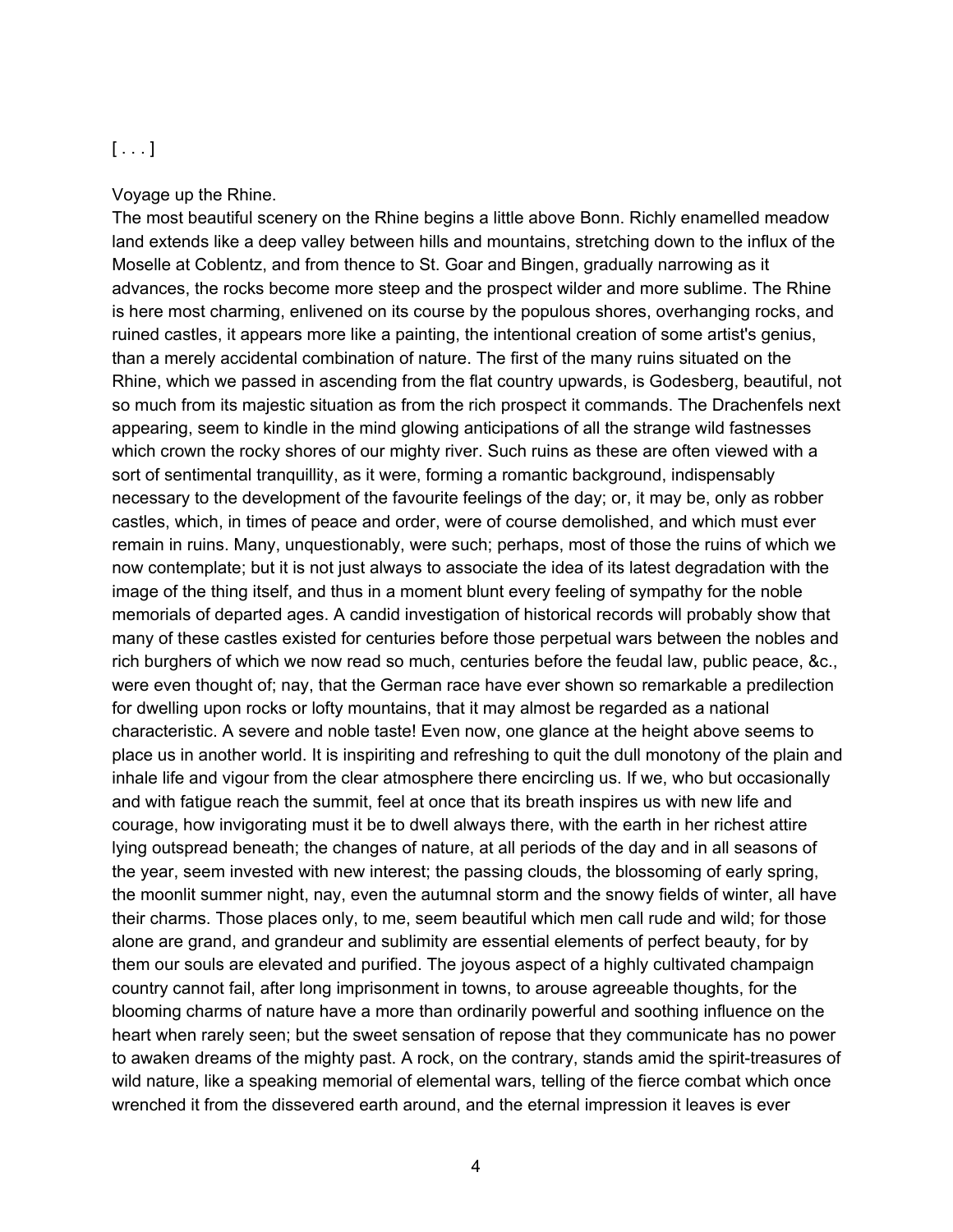#### $[ \dots ]$

#### Voyage up the Rhine.

The most beautiful scenery on the Rhine begins a little above Bonn. Richly enamelled meadow land extends like a deep valley between hills and mountains, stretching down to the influx of the Moselle at Coblentz, and from thence to St. Goar and Bingen, gradually narrowing as it advances, the rocks become more steep and the prospect wilder and more sublime. The Rhine is here most charming, enlivened on its course by the populous shores, overhanging rocks, and ruined castles, it appears more like a painting, the intentional creation of some artist's genius, than a merely accidental combination of nature. The first of the many ruins situated on the Rhine, which we passed in ascending from the flat country upwards, is Godesberg, beautiful, not so much from its majestic situation as from the rich prospect it commands. The Drachenfels next appearing, seem to kindle in the mind glowing anticipations of all the strange wild fastnesses which crown the rocky shores of our mighty river. Such ruins as these are often viewed with a sort of sentimental tranquillity, as it were, forming a romantic background, indispensably necessary to the development of the favourite feelings of the day; or, it may be, only as robber castles, which, in times of peace and order, were of course demolished, and which must ever remain in ruins. Many, unquestionably, were such; perhaps, most of those the ruins of which we now contemplate; but it is not just always to associate the idea of its latest degradation with the image of the thing itself, and thus in a moment blunt every feeling of sympathy for the noble memorials of departed ages. A candid investigation of historical records will probably show that many of these castles existed for centuries before those perpetual wars between the nobles and rich burghers of which we now read so much, centuries before the feudal law, public peace, &c., were even thought of; nay, that the German race have ever shown so remarkable a predilection for dwelling upon rocks or lofty mountains, that it may almost be regarded as a national characteristic. A severe and noble taste! Even now, one glance at the height above seems to place us in another world. It is inspiriting and refreshing to quit the dull monotony of the plain and inhale life and vigour from the clear atmosphere there encircling us. If we, who but occasionally and with fatigue reach the summit, feel at once that its breath inspires us with new life and courage, how invigorating must it be to dwell always there, with the earth in her richest attire lying outspread beneath; the changes of nature, at all periods of the day and in all seasons of the year, seem invested with new interest; the passing clouds, the blossoming of early spring, the moonlit summer night, nay, even the autumnal storm and the snowy fields of winter, all have their charms. Those places only, to me, seem beautiful which men call rude and wild; for those alone are grand, and grandeur and sublimity are essential elements of perfect beauty, for by them our souls are elevated and purified. The joyous aspect of a highly cultivated champaign country cannot fail, after long imprisonment in towns, to arouse agreeable thoughts, for the blooming charms of nature have a more than ordinarily powerful and soothing influence on the heart when rarely seen; but the sweet sensation of repose that they communicate has no power to awaken dreams of the mighty past. A rock, on the contrary, stands amid the spirit-treasures of wild nature, like a speaking memorial of elemental wars, telling of the fierce combat which once wrenched it from the dissevered earth around, and the eternal impression it leaves is ever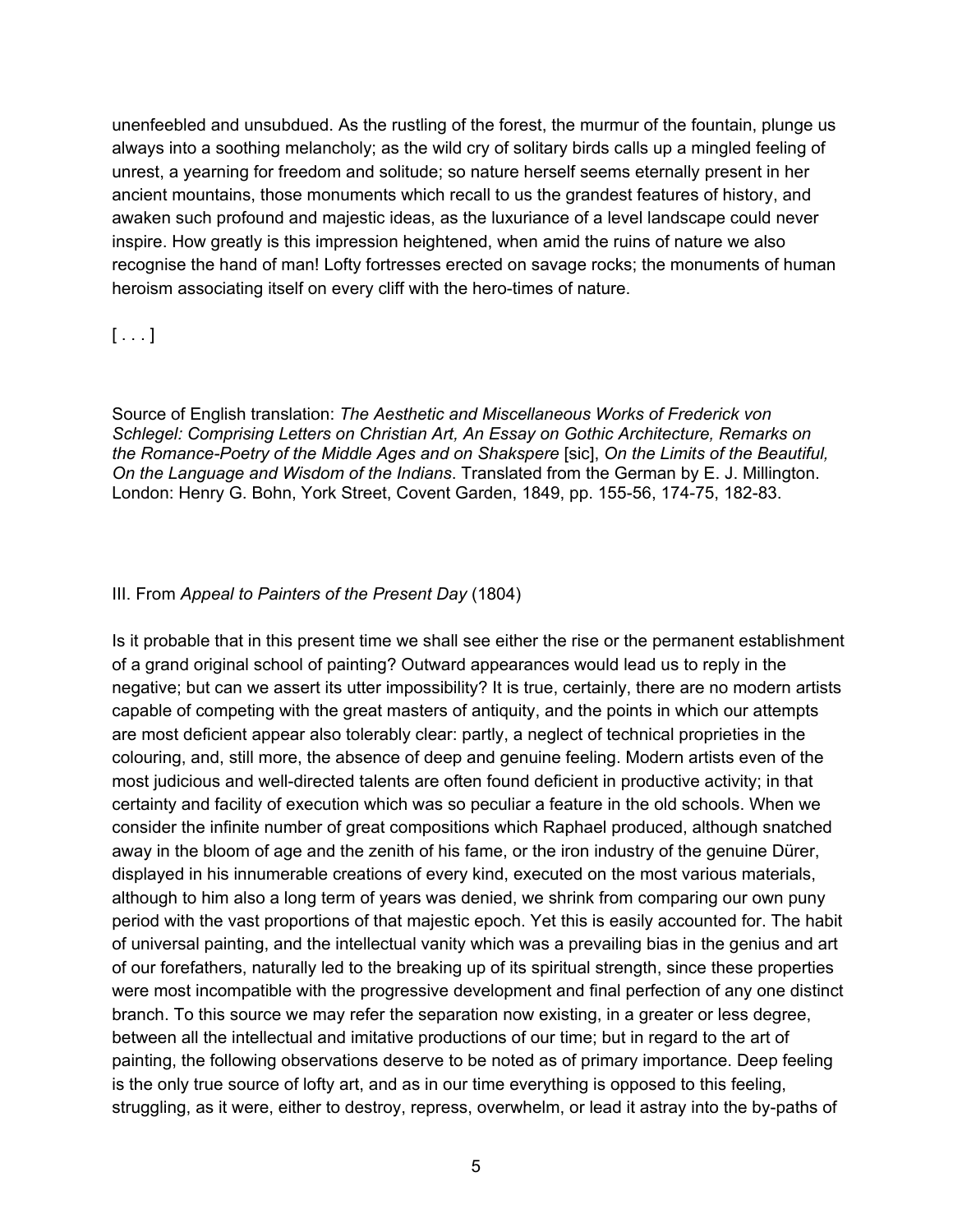unenfeebled and unsubdued. As the rustling of the forest, the murmur of the fountain, plunge us always into a soothing melancholy; as the wild cry of solitary birds calls up a mingled feeling of unrest, a yearning for freedom and solitude; so nature herself seems eternally present in her ancient mountains, those monuments which recall to us the grandest features of history, and awaken such profound and majestic ideas, as the luxuriance of a level landscape could never inspire. How greatly is this impression heightened, when amid the ruins of nature we also recognise the hand of man! Lofty fortresses erected on savage rocks; the monuments of human heroism associating itself on every cliff with the hero-times of nature.

## $[ \ldots ]$

Source of English translation: *The Aesthetic and Miscellaneous Works of Frederick von Schlegel: Comprising Letters on Christian Art, An Essay on Gothic Architecture, Remarks on the Romance-Poetry of the Middle Ages and on Shakspere* [sic], *On the Limits of the Beautiful, On the Language and Wisdom of the Indians*. Translated from the German by E. J. Millington. London: Henry G. Bohn, York Street, Covent Garden, 1849, pp. 155-56, 174-75, 182-83.

### III. From *Appeal to Painters of the Present Day* (1804)

Is it probable that in this present time we shall see either the rise or the permanent establishment of a grand original school of painting? Outward appearances would lead us to reply in the negative; but can we assert its utter impossibility? It is true, certainly, there are no modern artists capable of competing with the great masters of antiquity, and the points in which our attempts are most deficient appear also tolerably clear: partly, a neglect of technical proprieties in the colouring, and, still more, the absence of deep and genuine feeling. Modern artists even of the most judicious and well-directed talents are often found deficient in productive activity; in that certainty and facility of execution which was so peculiar a feature in the old schools. When we consider the infinite number of great compositions which Raphael produced, although snatched away in the bloom of age and the zenith of his fame, or the iron industry of the genuine Dürer, displayed in his innumerable creations of every kind, executed on the most various materials, although to him also a long term of years was denied, we shrink from comparing our own puny period with the vast proportions of that majestic epoch. Yet this is easily accounted for. The habit of universal painting, and the intellectual vanity which was a prevailing bias in the genius and art of our forefathers, naturally led to the breaking up of its spiritual strength, since these properties were most incompatible with the progressive development and final perfection of any one distinct branch. To this source we may refer the separation now existing, in a greater or less degree, between all the intellectual and imitative productions of our time; but in regard to the art of painting, the following observations deserve to be noted as of primary importance. Deep feeling is the only true source of lofty art, and as in our time everything is opposed to this feeling, struggling, as it were, either to destroy, repress, overwhelm, or lead it astray into the by-paths of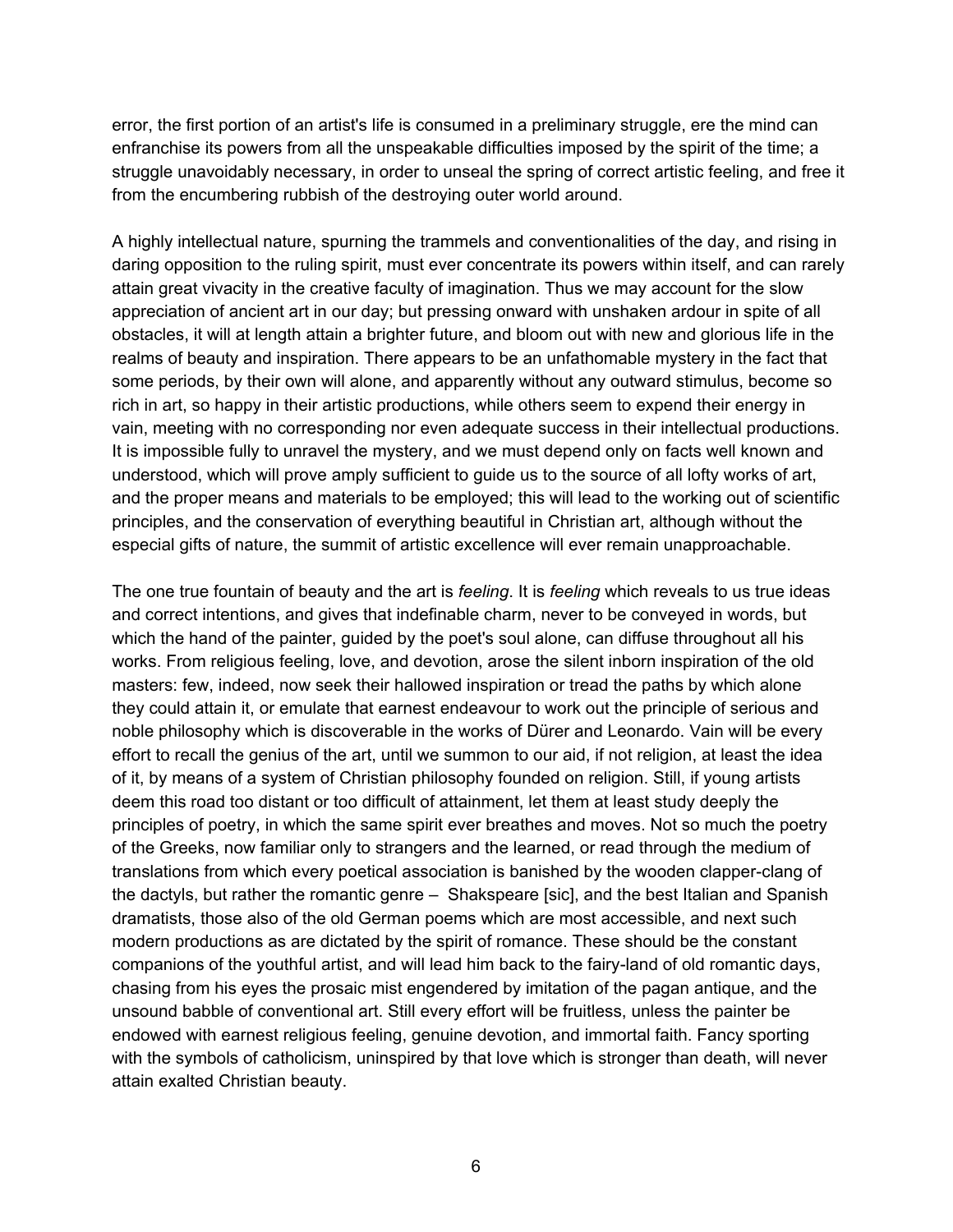error, the first portion of an artist's life is consumed in a preliminary struggle, ere the mind can enfranchise its powers from all the unspeakable difficulties imposed by the spirit of the time; a struggle unavoidably necessary, in order to unseal the spring of correct artistic feeling, and free it from the encumbering rubbish of the destroying outer world around.

A highly intellectual nature, spurning the trammels and conventionalities of the day, and rising in daring opposition to the ruling spirit, must ever concentrate its powers within itself, and can rarely attain great vivacity in the creative faculty of imagination. Thus we may account for the slow appreciation of ancient art in our day; but pressing onward with unshaken ardour in spite of all obstacles, it will at length attain a brighter future, and bloom out with new and glorious life in the realms of beauty and inspiration. There appears to be an unfathomable mystery in the fact that some periods, by their own will alone, and apparently without any outward stimulus, become so rich in art, so happy in their artistic productions, while others seem to expend their energy in vain, meeting with no corresponding nor even adequate success in their intellectual productions. It is impossible fully to unravel the mystery, and we must depend only on facts well known and understood, which will prove amply sufficient to guide us to the source of all lofty works of art, and the proper means and materials to be employed; this will lead to the working out of scientific principles, and the conservation of everything beautiful in Christian art, although without the especial gifts of nature, the summit of artistic excellence will ever remain unapproachable.

The one true fountain of beauty and the art is *feeling*. It is *feeling* which reveals to us true ideas and correct intentions, and gives that indefinable charm, never to be conveyed in words, but which the hand of the painter, guided by the poet's soul alone, can diffuse throughout all his works. From religious feeling, love, and devotion, arose the silent inborn inspiration of the old masters: few, indeed, now seek their hallowed inspiration or tread the paths by which alone they could attain it, or emulate that earnest endeavour to work out the principle of serious and noble philosophy which is discoverable in the works of Dürer and Leonardo. Vain will be every effort to recall the genius of the art, until we summon to our aid, if not religion, at least the idea of it, by means of a system of Christian philosophy founded on religion. Still, if young artists deem this road too distant or too difficult of attainment, let them at least study deeply the principles of poetry, in which the same spirit ever breathes and moves. Not so much the poetry of the Greeks, now familiar only to strangers and the learned, or read through the medium of translations from which every poetical association is banished by the wooden clapper-clang of the dactyls, but rather the romantic genre – Shakspeare [sic], and the best Italian and Spanish dramatists, those also of the old German poems which are most accessible, and next such modern productions as are dictated by the spirit of romance. These should be the constant companions of the youthful artist, and will lead him back to the fairy-land of old romantic days, chasing from his eyes the prosaic mist engendered by imitation of the pagan antique, and the unsound babble of conventional art. Still every effort will be fruitless, unless the painter be endowed with earnest religious feeling, genuine devotion, and immortal faith. Fancy sporting with the symbols of catholicism, uninspired by that love which is stronger than death, will never attain exalted Christian beauty.